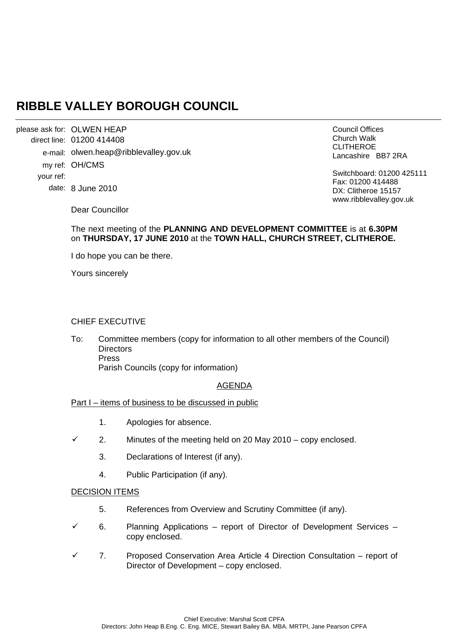# **RIBBLE VALLEY BOROUGH COUNCIL**

please ask for: OLWEN HEAP direct line: 01200 414408 e-mail: olwen.heap@ribblevalley.gov.uk my ref: OH/CMS your ref: date: 8 June 2010

Council Offices Church Walk CLITHEROE Lancashire BB7 2RA

Switchboard: 01200 425111 Fax: 01200 414488 DX: Clitheroe 15157 www.ribblevalley.gov.uk

Dear Councillor

# The next meeting of the **PLANNING AND DEVELOPMENT COMMITTEE** is at **6.30PM** on **THURSDAY, 17 JUNE 2010** at the **TOWN HALL, CHURCH STREET, CLITHEROE.**

I do hope you can be there.

Yours sincerely

## CHIEF EXECUTIVE

To: Committee members (copy for information to all other members of the Council) **Directors**  Press Parish Councils (copy for information)

## AGENDA

## Part I – items of business to be discussed in public

- 1. Apologies for absence.
- $\checkmark$  2. Minutes of the meeting held on 20 May 2010 copy enclosed.
	- 3. Declarations of Interest (if any).
	- 4. Public Participation (if any).

## DECISION ITEMS

- 5. References from Overview and Scrutiny Committee (if any).
- 6. Planning Applications report of Director of Development Services copy enclosed.
- 9 7. Proposed Conservation Area Article 4 Direction Consultation report of Director of Development – copy enclosed.